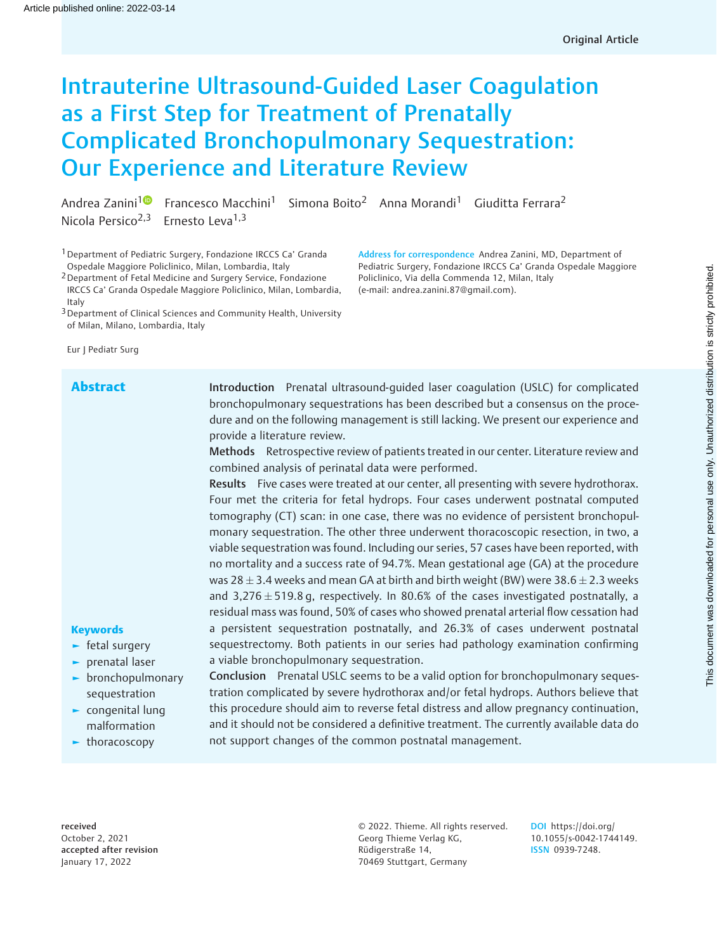# Intrauterine Ultrasound-Guided Laser Coagulation as a First Step for Treatment of Prenatally Complicated Bronchopulmonary Sequestration: Our Experience and Literature Review

Andrea Zanini<sup>[1](https://orcid.org/0000-0001-6857-0518)0</sup> Francesco Macchini<sup>1</sup> Simona Boito<sup>2</sup> Anna Morandi<sup>1</sup> Giuditta Ferrara<sup>2</sup> Nicola Persico<sup>2,3</sup> Ernesto Leva<sup>1,3</sup>

<sup>1</sup> Department of Pediatric Surgery, Fondazione IRCCS Ca' Granda Ospedale Maggiore Policlinico, Milan, Lombardia, Italy

2Department of Fetal Medicine and Surgery Service, Fondazione IRCCS Ca' Granda Ospedale Maggiore Policlinico, Milan, Lombardia, Italy

<sup>3</sup> Department of Clinical Sciences and Community Health, University of Milan, Milano, Lombardia, Italy

Eur J Pediatr Surg

Abstract Introduction Prenatal ultrasound-guided laser coagulation (USLC) for complicated bronchopulmonary sequestrations has been described but a consensus on the procedure and on the following management is still lacking. We present our experience and provide a literature review.

Address for correspondence Andrea Zanini, MD, Department of Pediatric Surgery, Fondazione IRCCS Ca' Granda Ospedale Maggiore

Policlinico, Via della Commenda 12, Milan, Italy (e-mail: [andrea.zanini.87@gmail.com\)](mailto:andrea.zanini.87@gmail.com).

Methods Retrospective review of patients treated in our center. Literature review and combined analysis of perinatal data were performed.

Results Five cases were treated at our center, all presenting with severe hydrothorax. Four met the criteria for fetal hydrops. Four cases underwent postnatal computed tomography (CT) scan: in one case, there was no evidence of persistent bronchopulmonary sequestration. The other three underwent thoracoscopic resection, in two, a viable sequestration was found. Including our series, 57 cases have been reported, with no mortality and a success rate of 94.7%. Mean gestational age (GA) at the procedure was 28  $\pm$  3.4 weeks and mean GA at birth and birth weight (BW) were 38.6  $\pm$  2.3 weeks and 3,276  $\pm$  519.8 g, respectively. In 80.6% of the cases investigated postnatally, a residual mass was found, 50% of cases who showed prenatal arterial flow cessation had a persistent sequestration postnatally, and 26.3% of cases underwent postnatal sequestrectomy. Both patients in our series had pathology examination confirming a viable bronchopulmonary sequestration.

# **Keywords**

- ► fetal surgery
- ► prenatal laser
- ► bronchopulmonary sequestration
- ► congenital lung malformation
- ► thoracoscopy

Conclusion Prenatal USLC seems to be a valid option for bronchopulmonary sequestration complicated by severe hydrothorax and/or fetal hydrops. Authors believe that this procedure should aim to reverse fetal distress and allow pregnancy continuation, and it should not be considered a definitive treatment. The currently available data do not support changes of the common postnatal management.

received October 2, 2021 accepted after revision January 17, 2022

© 2022. Thieme. All rights reserved. Georg Thieme Verlag KG, Rüdigerstraße 14, 70469 Stuttgart, Germany

DOI [https://doi.org/](https://doi.org/10.1055/s-0042-1744149) [10.1055/s-0042-1744149](https://doi.org/10.1055/s-0042-1744149). ISSN 0939-7248.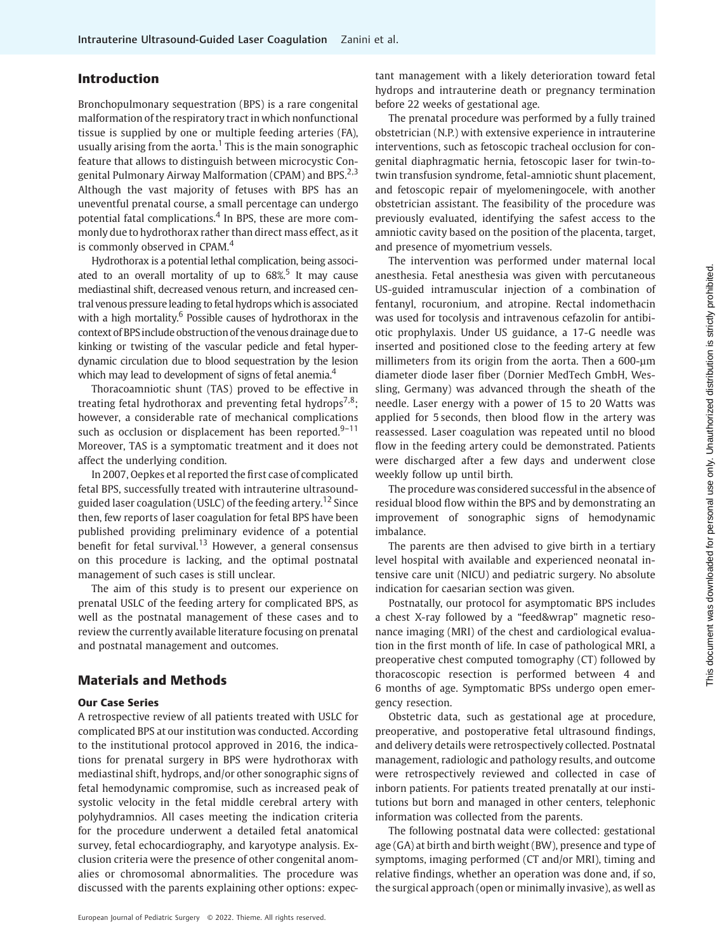# Introduction

Bronchopulmonary sequestration (BPS) is a rare congenital malformation of the respiratory tract in which nonfunctional tissue is supplied by one or multiple feeding arteries (FA), usually arising from the aorta.<sup>1</sup> This is the main sonographic feature that allows to distinguish between microcystic Congenital Pulmonary Airway Malformation (CPAM) and BPS.<sup>2,3</sup> Although the vast majority of fetuses with BPS has an uneventful prenatal course, a small percentage can undergo potential fatal complications.<sup>4</sup> In BPS, these are more commonly due to hydrothorax rather than direct mass effect, as it is commonly observed in CPAM.<sup>4</sup>

Hydrothorax is a potential lethal complication, being associated to an overall mortality of up to  $68\%$ <sup>5</sup> It may cause mediastinal shift, decreased venous return, and increased central venous pressure leading to fetal hydrops which is associated with a high mortality.<sup>6</sup> Possible causes of hydrothorax in the context of BPSinclude obstruction of the venous drainage due to kinking or twisting of the vascular pedicle and fetal hyperdynamic circulation due to blood sequestration by the lesion which may lead to development of signs of fetal anemia.<sup>4</sup>

Thoracoamniotic shunt (TAS) proved to be effective in treating fetal hydrothorax and preventing fetal hydrops<sup>7,8</sup>; however, a considerable rate of mechanical complications such as occlusion or displacement has been reported. $9-11$ Moreover, TAS is a symptomatic treatment and it does not affect the underlying condition.

In 2007, Oepkes et al reported the first case of complicated fetal BPS, successfully treated with intrauterine ultrasoundguided laser coagulation (USLC) of the feeding artery.<sup>12</sup> Since then, few reports of laser coagulation for fetal BPS have been published providing preliminary evidence of a potential benefit for fetal survival.<sup>13</sup> However, a general consensus on this procedure is lacking, and the optimal postnatal management of such cases is still unclear.

The aim of this study is to present our experience on prenatal USLC of the feeding artery for complicated BPS, as well as the postnatal management of these cases and to review the currently available literature focusing on prenatal and postnatal management and outcomes.

# Materials and Methods

## Our Case Series

A retrospective review of all patients treated with USLC for complicated BPS at our institution was conducted. According to the institutional protocol approved in 2016, the indications for prenatal surgery in BPS were hydrothorax with mediastinal shift, hydrops, and/or other sonographic signs of fetal hemodynamic compromise, such as increased peak of systolic velocity in the fetal middle cerebral artery with polyhydramnios. All cases meeting the indication criteria for the procedure underwent a detailed fetal anatomical survey, fetal echocardiography, and karyotype analysis. Exclusion criteria were the presence of other congenital anomalies or chromosomal abnormalities. The procedure was discussed with the parents explaining other options: expec-

European Journal of Pediatric Surgery © 2022. Thieme. All rights reserved.

tant management with a likely deterioration toward fetal hydrops and intrauterine death or pregnancy termination before 22 weeks of gestational age.

The prenatal procedure was performed by a fully trained obstetrician (N.P.) with extensive experience in intrauterine interventions, such as fetoscopic tracheal occlusion for congenital diaphragmatic hernia, fetoscopic laser for twin-totwin transfusion syndrome, fetal-amniotic shunt placement, and fetoscopic repair of myelomeningocele, with another obstetrician assistant. The feasibility of the procedure was previously evaluated, identifying the safest access to the amniotic cavity based on the position of the placenta, target, and presence of myometrium vessels.

The intervention was performed under maternal local anesthesia. Fetal anesthesia was given with percutaneous US-guided intramuscular injection of a combination of fentanyl, rocuronium, and atropine. Rectal indomethacin was used for tocolysis and intravenous cefazolin for antibiotic prophylaxis. Under US guidance, a 17-G needle was inserted and positioned close to the feeding artery at few millimeters from its origin from the aorta. Then a 600-μm diameter diode laser fiber (Dornier MedTech GmbH, Wessling, Germany) was advanced through the sheath of the needle. Laser energy with a power of 15 to 20 Watts was applied for 5 seconds, then blood flow in the artery was reassessed. Laser coagulation was repeated until no blood flow in the feeding artery could be demonstrated. Patients were discharged after a few days and underwent close weekly follow up until birth.

The procedure was considered successful in the absence of residual blood flow within the BPS and by demonstrating an improvement of sonographic signs of hemodynamic imbalance.

The parents are then advised to give birth in a tertiary level hospital with available and experienced neonatal intensive care unit (NICU) and pediatric surgery. No absolute indication for caesarian section was given.

Postnatally, our protocol for asymptomatic BPS includes a chest X-ray followed by a "feed&wrap" magnetic resonance imaging (MRI) of the chest and cardiological evaluation in the first month of life. In case of pathological MRI, a preoperative chest computed tomography (CT) followed by thoracoscopic resection is performed between 4 and 6 months of age. Symptomatic BPSs undergo open emergency resection.

Obstetric data, such as gestational age at procedure, preoperative, and postoperative fetal ultrasound findings, and delivery details were retrospectively collected. Postnatal management, radiologic and pathology results, and outcome were retrospectively reviewed and collected in case of inborn patients. For patients treated prenatally at our institutions but born and managed in other centers, telephonic information was collected from the parents.

The following postnatal data were collected: gestational age (GA) at birth and birth weight (BW), presence and type of symptoms, imaging performed (CT and/or MRI), timing and relative findings, whether an operation was done and, if so, the surgical approach (open or minimally invasive), as well as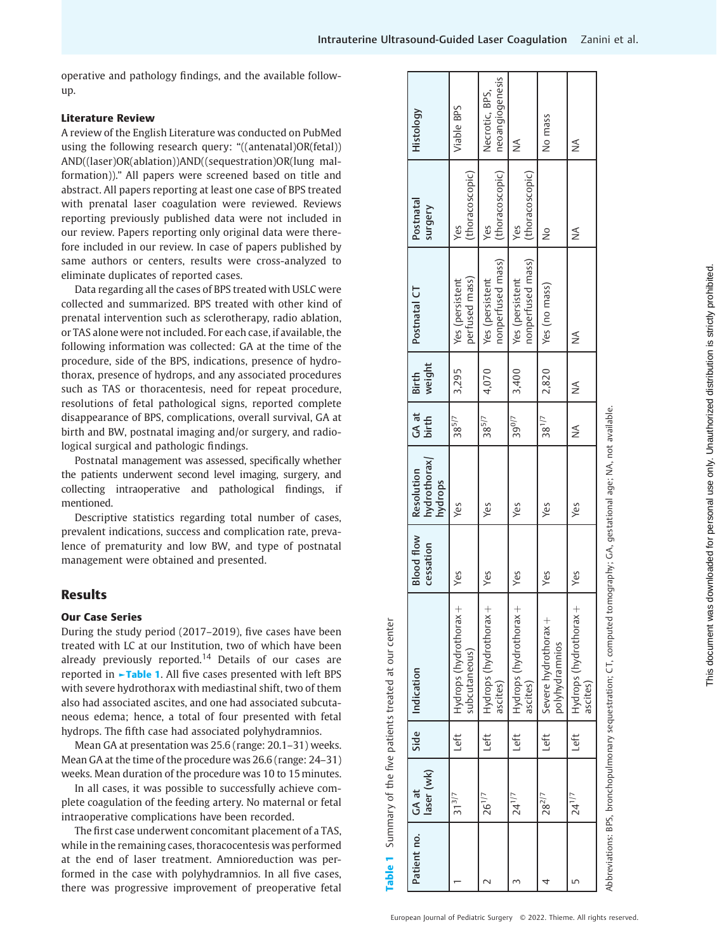operative and pathology findings, and the available followup.

#### Literature Review

A review of the English Literature was conducted on PubMed using the following research query: "((antenatal)OR(fetal)) AND((laser)OR(ablation))AND((sequestration)OR(lung malformation))." All papers were screened based on title and abstract. All papers reporting at least one case of BPS treated with prenatal laser coagulation were reviewed. Reviews reporting previously published data were not included in our review. Papers reporting only original data were therefore included in our review. In case of papers published by same authors or centers, results were cross-analyzed to eliminate duplicates of reported cases.

Data regarding all the cases of BPS treated with USLC were collected and summarized. BPS treated with other kind of prenatal intervention such as sclerotherapy, radio ablation, or TAS alone were not included. For each case, if available, the following information was collected: GA at the time of the procedure, side of the BPS, indications, presence of hydrothorax, presence of hydrops, and any associated procedures such as TAS or thoracentesis, need for repeat procedure, resolutions of fetal pathological signs, reported complete disappearance of BPS, complications, overall survival, GA at birth and BW, postnatal imaging and/or surgery, and radiological surgical and pathologic findings.

Postnatal management was assessed, specifically whether the patients underwent second level imaging, surgery, and collecting intraoperative and pathological findings, if mentioned.

Descriptive statistics regarding total number of cases, prevalent indications, success and complication rate, prevalence of prematurity and low BW, and type of postnatal management were obtained and presented.

# Results

#### Our Case Series

During the study period (2017–2019), five cases have been treated with LC at our Institution, two of which have been already previously reported.<sup>14</sup> Details of our cases are reported in ►Table 1. All five cases presented with left BPS with severe hydrothorax with mediastinal shift, two of them also had associated ascites, and one had associated subcutaneous edema; hence, a total of four presented with fetal hydrops. The fifth case had associated polyhydramnios.

Mean GA at presentation was 25.6 (range: 20.1–31) weeks. Mean GA at the time of the procedure was 26.6 (range: 24–31) weeks. Mean duration of the procedure was 10 to 15 minutes.

In all cases, it was possible to successfully achieve complete coagulation of the feeding artery. No maternal or fetal intraoperative complications have been recorded.

The first case underwent concomitant placement of a TAS, while in the remaining cases, thoracocentesis was performed at the end of laser treatment. Amnioreduction was performed in the case with polyhydramnios. In all five cases, there was progressive improvement of preoperative fetal

| Patient no. | laser (wk)<br>GA at | Side      | Indication                                                                                                           | <b>Blood flow</b><br>cessation | hydrothorax/<br>Resolution<br>hydrops | GA at<br>birth | weight<br>Birth | Postnatal CT                         | Postnatal<br>surgery   | Histology                         |
|-------------|---------------------|-----------|----------------------------------------------------------------------------------------------------------------------|--------------------------------|---------------------------------------|----------------|-----------------|--------------------------------------|------------------------|-----------------------------------|
|             | $31^{3/7}$          | <u>tf</u> | Hydrops (hydrothorax +<br>subcutaneous)                                                                              | Yes                            | Yes                                   | $38^{5/7}$     | 3,295           | perfused mass)<br>Yes (persistent    | (thoracoscopic)<br>Yes | Viable BPS                        |
|             | 26 <sup>1/7</sup>   | Left      | Hydrops (hydrothorax +<br>ascites)                                                                                   | Yes                            | Yes                                   | $38^{5/7}$     | 4,070           | nonperfused mass)<br>Yes (persistent | (thoracoscopic)<br>Yes | neoangiogenesis<br>Necrotic, BPS, |
|             | $24^{1/7}$          | Left      | Hydrops (hydrothorax +<br>ascites)                                                                                   | Yes                            | Yes                                   | 390/7          | 3,400           | nonperfused mass)<br>Yes (persistent | (thoracoscopic)<br>Yes | ⋚                                 |
|             | 28 <sup>2/7</sup>   | Left      | Severe hydrothorax +<br>polyhydramnios                                                                               | Yes                            | Yes                                   | $38^{1/7}$     | 2,820           | Yes (no mass)                        | ž                      | No mass                           |
| ഥ           | $24^{1/7}$          | Left      | Hydrops (hydrothorax +<br>ascites)                                                                                   | Yes                            | Yes                                   | ⋚              | ⋚               | ⋚                                    | ⋚                      | ⋚                                 |
|             |                     |           | obbreviations: BPS, bronchopulmonary sequestration: CT, computed tomography: GA, gestational age: NA, not available. |                                |                                       |                |                 |                                      |                        |                                   |

Table 1 Summary of the five patients treated at our center

Table 1 Summary of the five patients treated at our center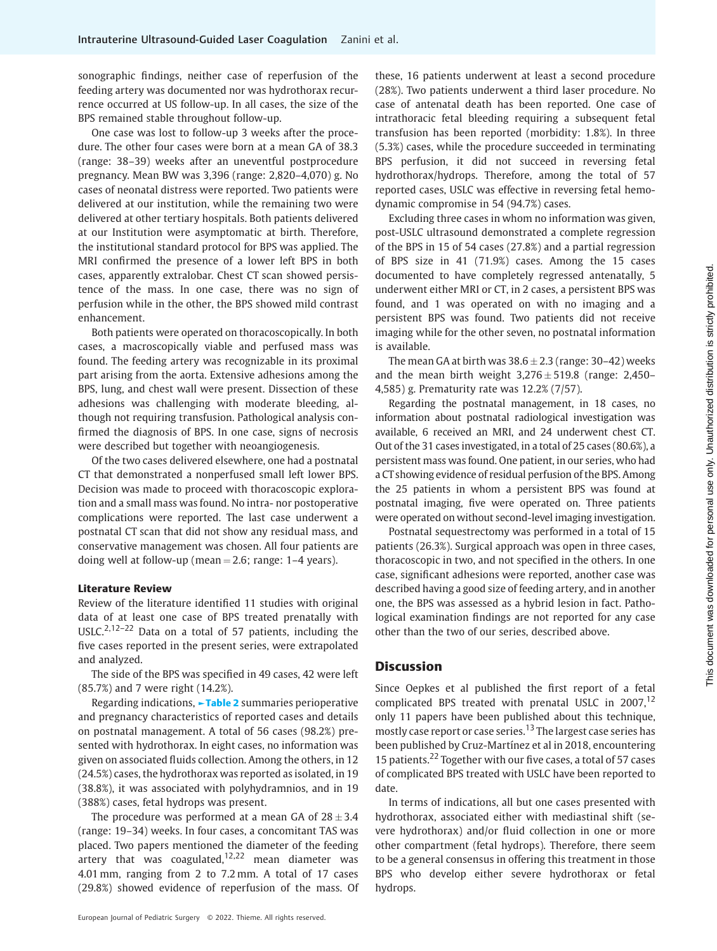sonographic findings, neither case of reperfusion of the feeding artery was documented nor was hydrothorax recurrence occurred at US follow-up. In all cases, the size of the BPS remained stable throughout follow-up.

One case was lost to follow-up 3 weeks after the procedure. The other four cases were born at a mean GA of 38.3 (range: 38–39) weeks after an uneventful postprocedure pregnancy. Mean BW was 3,396 (range: 2,820–4,070) g. No cases of neonatal distress were reported. Two patients were delivered at our institution, while the remaining two were delivered at other tertiary hospitals. Both patients delivered at our Institution were asymptomatic at birth. Therefore, the institutional standard protocol for BPS was applied. The MRI confirmed the presence of a lower left BPS in both cases, apparently extralobar. Chest CT scan showed persistence of the mass. In one case, there was no sign of perfusion while in the other, the BPS showed mild contrast enhancement.

Both patients were operated on thoracoscopically. In both cases, a macroscopically viable and perfused mass was found. The feeding artery was recognizable in its proximal part arising from the aorta. Extensive adhesions among the BPS, lung, and chest wall were present. Dissection of these adhesions was challenging with moderate bleeding, although not requiring transfusion. Pathological analysis confirmed the diagnosis of BPS. In one case, signs of necrosis were described but together with neoangiogenesis.

Of the two cases delivered elsewhere, one had a postnatal CT that demonstrated a nonperfused small left lower BPS. Decision was made to proceed with thoracoscopic exploration and a small mass was found. No intra- nor postoperative complications were reported. The last case underwent a postnatal CT scan that did not show any residual mass, and conservative management was chosen. All four patients are doing well at follow-up (mean  $= 2.6$ ; range: 1–4 years).

#### Literature Review

Review of the literature identified 11 studies with original data of at least one case of BPS treated prenatally with USLC.<sup>2,12-22</sup> Data on a total of 57 patients, including the five cases reported in the present series, were extrapolated and analyzed.

The side of the BPS was specified in 49 cases, 42 were left (85.7%) and 7 were right (14.2%).

Regarding indications, ►Table 2 summaries perioperative and pregnancy characteristics of reported cases and details on postnatal management. A total of 56 cases (98.2%) presented with hydrothorax. In eight cases, no information was given on associated fluids collection. Among the others, in 12 (24.5%) cases, the hydrothorax was reported as isolated, in 19 (38.8%), it was associated with polyhydramnios, and in 19 (388%) cases, fetal hydrops was present.

The procedure was performed at a mean GA of  $28 \pm 3.4$ (range: 19–34) weeks. In four cases, a concomitant TAS was placed. Two papers mentioned the diameter of the feeding artery that was coagulated, $12,22$  mean diameter was 4.01 mm, ranging from 2 to 7.2 mm. A total of 17 cases (29.8%) showed evidence of reperfusion of the mass. Of these, 16 patients underwent at least a second procedure (28%). Two patients underwent a third laser procedure. No case of antenatal death has been reported. One case of intrathoracic fetal bleeding requiring a subsequent fetal transfusion has been reported (morbidity: 1.8%). In three (5.3%) cases, while the procedure succeeded in terminating BPS perfusion, it did not succeed in reversing fetal hydrothorax/hydrops. Therefore, among the total of 57 reported cases, USLC was effective in reversing fetal hemodynamic compromise in 54 (94.7%) cases.

Excluding three cases in whom no information was given, post-USLC ultrasound demonstrated a complete regression of the BPS in 15 of 54 cases (27.8%) and a partial regression of BPS size in 41 (71.9%) cases. Among the 15 cases documented to have completely regressed antenatally, 5 underwent either MRI or CT, in 2 cases, a persistent BPS was found, and 1 was operated on with no imaging and a persistent BPS was found. Two patients did not receive imaging while for the other seven, no postnatal information is available.

The mean GA at birth was  $38.6 \pm 2.3$  (range: 30–42) weeks and the mean birth weight  $3,276 \pm 519.8$  (range: 2,450– 4,585) g. Prematurity rate was 12.2% (7/57).

Regarding the postnatal management, in 18 cases, no information about postnatal radiological investigation was available, 6 received an MRI, and 24 underwent chest CT. Out of the 31 cases investigated, in a total of 25 cases (80.6%), a persistent mass was found. One patient, in our series, who had a CT showing evidence of residual perfusion of the BPS. Among the 25 patients in whom a persistent BPS was found at postnatal imaging, five were operated on. Three patients were operated on without second-level imaging investigation.

Postnatal sequestrectomy was performed in a total of 15 patients (26.3%). Surgical approach was open in three cases, thoracoscopic in two, and not specified in the others. In one case, significant adhesions were reported, another case was described having a good size of feeding artery, and in another one, the BPS was assessed as a hybrid lesion in fact. Pathological examination findings are not reported for any case other than the two of our series, described above.

## **Discussion**

Since Oepkes et al published the first report of a fetal complicated BPS treated with prenatal USLC in  $2007$ ,  $^{12}$ only 11 papers have been published about this technique, mostly case report or case series.<sup>13</sup> The largest case series has been published by Cruz-Martínez et al in 2018, encountering 15 patients.<sup>22</sup> Together with our five cases, a total of 57 cases of complicated BPS treated with USLC have been reported to date.

In terms of indications, all but one cases presented with hydrothorax, associated either with mediastinal shift (severe hydrothorax) and/or fluid collection in one or more other compartment (fetal hydrops). Therefore, there seem to be a general consensus in offering this treatment in those BPS who develop either severe hydrothorax or fetal hydrops.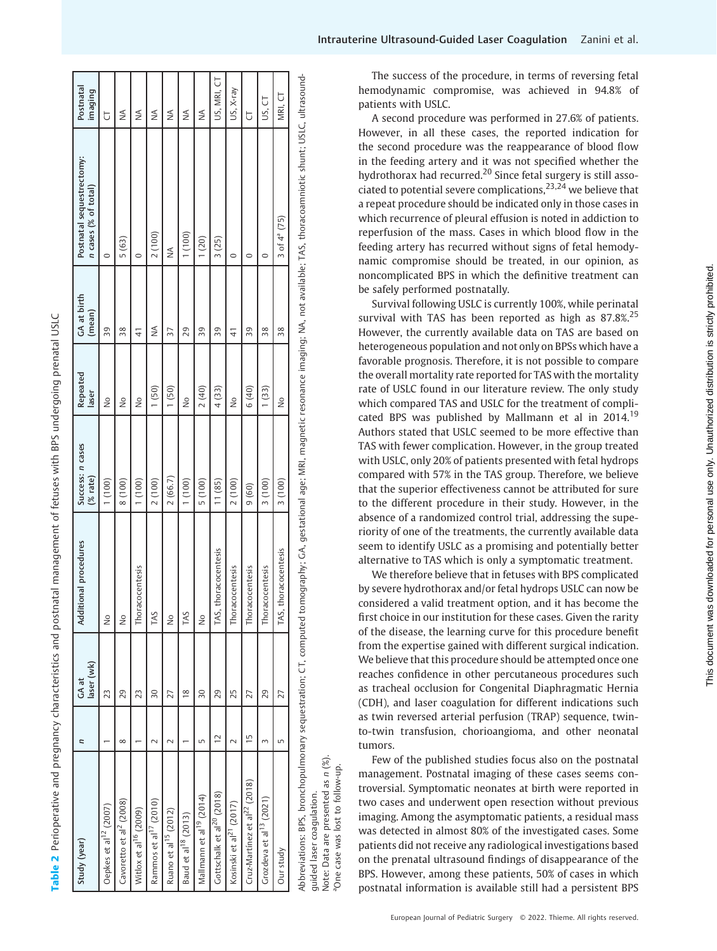| Study (year)                             | Ξ              | laser (wk)<br>GA at | ional procedures<br><b>Additi</b> | Success: n cases<br>(%rate) | Repeated<br>laser | GA at birth<br>(mean) | Postnatal sequestrectomy:<br>n cases (% of total)                                                                                                                                                   | Postnatal<br>imaging |
|------------------------------------------|----------------|---------------------|-----------------------------------|-----------------------------|-------------------|-----------------------|-----------------------------------------------------------------------------------------------------------------------------------------------------------------------------------------------------|----------------------|
| Oepkes et al <sup>12</sup> (2007)        |                | 23                  | ş                                 | (100)                       | $\frac{1}{2}$     | 39                    | $\circ$                                                                                                                                                                                             | J                    |
| Cavoretto et al <sup>2</sup> (2008)      | $\infty$       | 29                  | ş                                 | (100)                       | $\frac{1}{2}$     | 38                    | 5(63)                                                                                                                                                                                               | ⋚                    |
| Witlox et al <sup>16</sup> (2009)        |                | 23                  | Thoracocentesis                   | 1(100)                      | $\frac{1}{2}$     | $\frac{4}{3}$         | $\circ$                                                                                                                                                                                             | ≸                    |
| Rammos et al <sup>17</sup> (2010)        | √              | $\overline{30}$     | TAS                               | 2(100)                      | 1(50)             | ≸                     | 2(100)                                                                                                                                                                                              | ⋚                    |
| Ruano et al <sup>15</sup> (2012)         |                | 27                  | ş                                 | 2(66.7)                     | 1(50)             | 37                    | ⋚                                                                                                                                                                                                   | ≸                    |
| Baud et al <sup>18</sup> (2013)          |                | $\frac{8}{18}$      | TAS                               | (100)                       | $\frac{1}{2}$     | 29                    | (100)                                                                                                                                                                                               | ⋚                    |
| Mallmann et al <sup>19</sup> (2014)      | Б              | $\overline{30}$     | ş                                 | 5(100)                      | 2(40)             | 39                    | 1(20)                                                                                                                                                                                               | ≸                    |
| Gottschalk et al <sup>20</sup> (2018)    | $\overline{c}$ | 29                  | thoracocentesis<br>TAS,           | 11(85)                      | 4(33)             | 39                    | 3(25)                                                                                                                                                                                               | US, MRI, CT          |
| Kosinski et al <sup>21</sup> (2017)      | $\sim$         | 25                  | Thoracocentesis                   | 2(100)                      | $\frac{1}{2}$     | 41                    | $\circ$                                                                                                                                                                                             | US, X-ray            |
| Cruz-Martínez et al <sup>22</sup> (2018) | $\overline{1}$ | 27                  | Thoracocentesis                   | 9(60)                       | 6(40)             | 39                    | 0                                                                                                                                                                                                   | J                    |
| Grozdeva et al <sup>13</sup> (2021)      | 3              | 29                  | Thoracocentesis                   | 3(100)                      | 1(33)             | 38                    | 0                                                                                                                                                                                                   | US, CT               |
| Our study                                | 5              | 27                  | horacocentesis<br>TAS, t          | 3(100)                      | $\frac{1}{2}$     | 38                    | 3 of $4^{\circ}$ (75)                                                                                                                                                                               | MRI, CT              |
|                                          |                |                     |                                   |                             |                   |                       | Abbreviations: BPS, bronchopulmonary sequestration; CT, computed tomography; GA, gestational age; MRI, magnetic resonance imaging; NA, not available; TAS, thoracoamniotic shunt; USLC, ultrasound- |                      |

Table 2 Perioperative and pregnancy characteristics and postnatal management of fetuses with BPS undergoing prenatal USLC

Perioperative and pregnancy characteristics and postnatal management of fetuses with BPS undergoing prenatal USLC

Note: Data are presented as n (%). Note: Data are presented as n (%). case was lost to follow-up. aOne case was lost to follow-up. guided laser coagulation. guided laser coagulation.

aOne

The success of the procedure, in terms of reversing fetal hemodynamic compromise, was achieved in 94.8% of patients with USLC.

A second procedure was performed in 27.6% of patients. However, in all these cases, the reported indication for the second procedure was the reappearance of blood flow in the feeding artery and it was not speci fied whether the hydrothorax had recurred.<sup>20</sup> Since fetal surgery is still associated to potential severe complications,  $23,24$  we believe that a repeat procedure should be indicated only in those cases in which recurrence of pleural effusion is noted in addiction to reperfusion of the mass. Cases in which blood flow in the feeding artery has recurred without signs of fetal hemodynamic compromise should be treated, in our opinion, as noncomplicated BPS in which the de finitive treatment can be safely performed postnatally.

Survival following USLC is currently 100%, while perinatal survival with TAS has been reported as high as 87.8%.<sup>25</sup> However, the currently available data on TAS are based on heterogeneous population and not only on BPSs which have a favorable prognosis. Therefore, it is not possible to compare the overall mortality rate reported for TAS with the mortality rate of USLC found in our literature review. The only study which compared TAS and USLC for the treatment of complicated BPS was published by Mallmann et al in 2014.<sup>19</sup> Authors stated that USLC seemed to be more effective than TAS with fewer complication. However, in the group treated with USLC, only 20% of patients presented with fetal hydrops compared with 57% in the TAS group. Therefore, we believe that the superior effectiveness cannot be attributed for sure to the different procedure in their study. However, in the absence of a randomized control trial, addressing the superiority of one of the treatments, the currently available data seem to identify USLC as a promising and potentially better alternative to TAS which is only a symptomatic treatment.

We therefore believe that in fetuses with BPS complicated by severe hydrothorax and/or fetal hydrops USLC can now be considered a valid treatment option, and it has become the first choice in our institution for these cases. Given the rarity of the disease, the learning curve for this procedure bene fi t from the expertise gained with different surgical indication. We believe that this procedure should be attempted once one reaches con fidence in other percutaneous procedures such as tracheal occlusion for Congenital Diaphragmatic Hernia (CDH), and laser coagulation for different indications such as twin reversed arterial perfusion (TRAP) sequence, twinto-twin transfusion, chorioangioma, and other neonatal tumors.

Few of the published studies focus also on the postnatal management. Postnatal imaging of these cases seems controversial. Symptomatic neonates at birth were reported in two cases and underwent open resection without previous imaging. Among the asymptomatic patients, a residual mass was detected in almost 80% of the investigated cases. Some patients did not receive any radiological investigations based on the prenatal ultrasound findings of disappearance of the BPS. However, among these patients, 50% of cases in which postnatal information is available still had a persistent BPS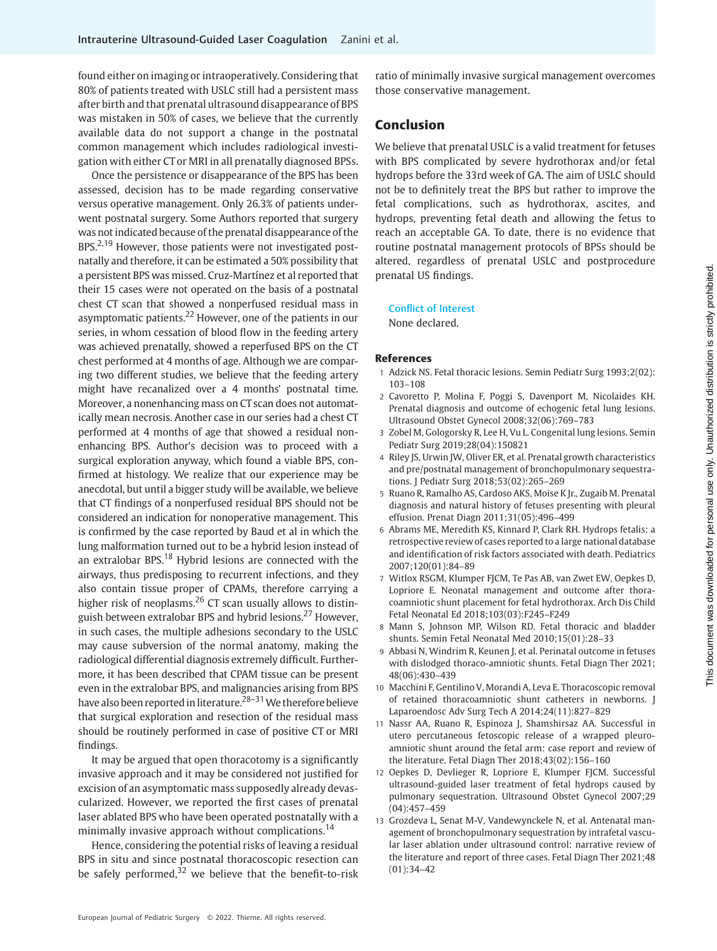found either on imaging or intraoperatively. Considering that 80% of patients treated with USLC still had a persistent mass after birth and that prenatal ultrasound disappearance of BPS was mistaken in 50% of cases, we believe that the currently available data do not support a change in the postnatal common management which includes radiological investigation with either CT or MRI in all prenatally diagnosed BPSs.

Once the persistence or disappearance of the BPS has been assessed, decision has to be made regarding conservative versus operative management. Only 26.3% of patients underwent postnatal surgery. Some Authors reported that surgery was not indicated because of the prenatal disappearance of the BPS.<sup>2,19</sup> However, those patients were not investigated postnatally and therefore, it can be estimated a 50% possibility that a persistent BPS was missed. Cruz-Martínez et al reported that their 15 cases were not operated on the basis of a postnatal chest CT scan that showed a nonperfused residual mass in asymptomatic patients.<sup>22</sup> However, one of the patients in our series, in whom cessation of blood flow in the feeding artery was achieved prenatally, showed a reperfused BPS on the CT chest performed at 4 months of age. Although we are comparing two different studies, we believe that the feeding artery might have recanalized over a 4 months' postnatal time. Moreover, a nonenhancing mass on CT scan does not automatically mean necrosis. Another case in our series had a chest CT performed at 4 months of age that showed a residual nonenhancing BPS. Author's decision was to proceed with a surgical exploration anyway, which found a viable BPS, confirmed at histology. We realize that our experience may be anecdotal, but until a bigger study will be available, we believe that CT findings of a nonperfused residual BPS should not be considered an indication for nonoperative management. This is confirmed by the case reported by Baud et al in which the lung malformation turned out to be a hybrid lesion instead of an extralobar BPS.<sup>18</sup> Hybrid lesions are connected with the airways, thus predisposing to recurrent infections, and they also contain tissue proper of CPAMs, therefore carrying a higher risk of neoplasms.<sup>26</sup> CT scan usually allows to distinguish between extralobar BPS and hybrid lesions.<sup>27</sup> However, in such cases, the multiple adhesions secondary to the USLC may cause subversion of the normal anatomy, making the radiological differential diagnosis extremely difficult. Furthermore, it has been described that CPAM tissue can be present even in the extralobar BPS, and malignancies arising from BPS have also been reported in literature.<sup>28–31</sup> We therefore believe that surgical exploration and resection of the residual mass should be routinely performed in case of positive CT or MRI findings.

It may be argued that open thoracotomy is a significantly invasive approach and it may be considered not justified for excision of an asymptomatic mass supposedly already devascularized. However, we reported the first cases of prenatal laser ablated BPS who have been operated postnatally with a minimally invasive approach without complications.<sup>14</sup>

Hence, considering the potential risks of leaving a residual BPS in situ and since postnatal thoracoscopic resection can be safely performed, $32$  we believe that the benefit-to-risk ratio of minimally invasive surgical management overcomes those conservative management.

# Conclusion

We believe that prenatal USLC is a valid treatment for fetuses with BPS complicated by severe hydrothorax and/or fetal hydrops before the 33rd week of GA. The aim of USLC should not be to definitely treat the BPS but rather to improve the fetal complications, such as hydrothorax, ascites, and hydrops, preventing fetal death and allowing the fetus to reach an acceptable GA. To date, there is no evidence that routine postnatal management protocols of BPSs should be altered, regardless of prenatal USLC and postprocedure prenatal US findings.

Conflict of Interest

None declared.

#### References

- 1 Adzick NS. Fetal thoracic lesions. Semin Pediatr Surg 1993;2(02): 103–108
- 2 Cavoretto P, Molina F, Poggi S, Davenport M, Nicolaides KH. Prenatal diagnosis and outcome of echogenic fetal lung lesions. Ultrasound Obstet Gynecol 2008;32(06):769–783
- 3 Zobel M, Gologorsky R, Lee H, Vu L. Congenital lung lesions. Semin Pediatr Surg 2019;28(04):150821
- 4 Riley JS, Urwin JW, Oliver ER, et al. Prenatal growth characteristics and pre/postnatal management of bronchopulmonary sequestrations. J Pediatr Surg 2018;53(02):265–269
- 5 Ruano R, Ramalho AS, Cardoso AKS, Moise K Jr., Zugaib M. Prenatal diagnosis and natural history of fetuses presenting with pleural effusion. Prenat Diagn 2011;31(05):496–499
- 6 Abrams ME, Meredith KS, Kinnard P, Clark RH. Hydrops fetalis: a retrospective review of cases reported to a large national database and identification of risk factors associated with death. Pediatrics 2007;120(01):84–89
- 7 Witlox RSGM, Klumper FJCM, Te Pas AB, van Zwet EW, Oepkes D, Lopriore E. Neonatal management and outcome after thoracoamniotic shunt placement for fetal hydrothorax. Arch Dis Child Fetal Neonatal Ed 2018;103(03):F245–F249
- 8 Mann S, Johnson MP, Wilson RD. Fetal thoracic and bladder shunts. Semin Fetal Neonatal Med 2010;15(01):28–33
- 9 Abbasi N, Windrim R, Keunen J, et al. Perinatal outcome in fetuses with dislodged thoraco-amniotic shunts. Fetal Diagn Ther 2021; 48(06):430–439
- 10 Macchini F, Gentilino V, Morandi A, Leva E. Thoracoscopic removal of retained thoracoamniotic shunt catheters in newborns. J Laparoendosc Adv Surg Tech A 2014;24(11):827–829
- 11 Nassr AA, Ruano R, Espinoza J, Shamshirsaz AA. Successful in utero percutaneous fetoscopic release of a wrapped pleuroamniotic shunt around the fetal arm: case report and review of the literature. Fetal Diagn Ther 2018;43(02):156–160
- 12 Oepkes D, Devlieger R, Lopriore E, Klumper FJCM. Successful ultrasound-guided laser treatment of fetal hydrops caused by pulmonary sequestration. Ultrasound Obstet Gynecol 2007;29 (04):457–459
- 13 Grozdeva L, Senat M-V, Vandewynckele N, et al. Antenatal management of bronchopulmonary sequestration by intrafetal vascular laser ablation under ultrasound control: narrative review of the literature and report of three cases. Fetal Diagn Ther 2021;48 (01):34–42